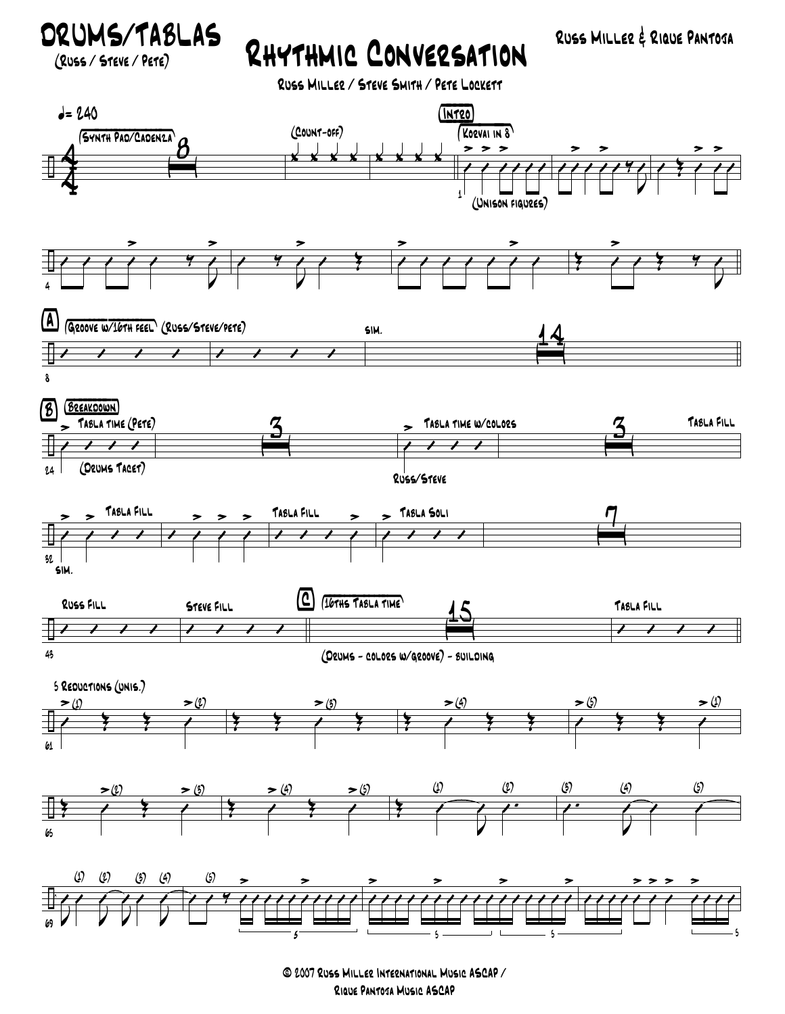ORUMS/TABLAS RHYTHMIC CONVERSATION RUSS MILLER & RIQUE PANTOSA

(Russ / Steve / Pete)

Russ Miller / Steve Smith / Pete Lockett



© 2007 Russ Miller International Music ASCAP / Rique Pantoja Music ASCAP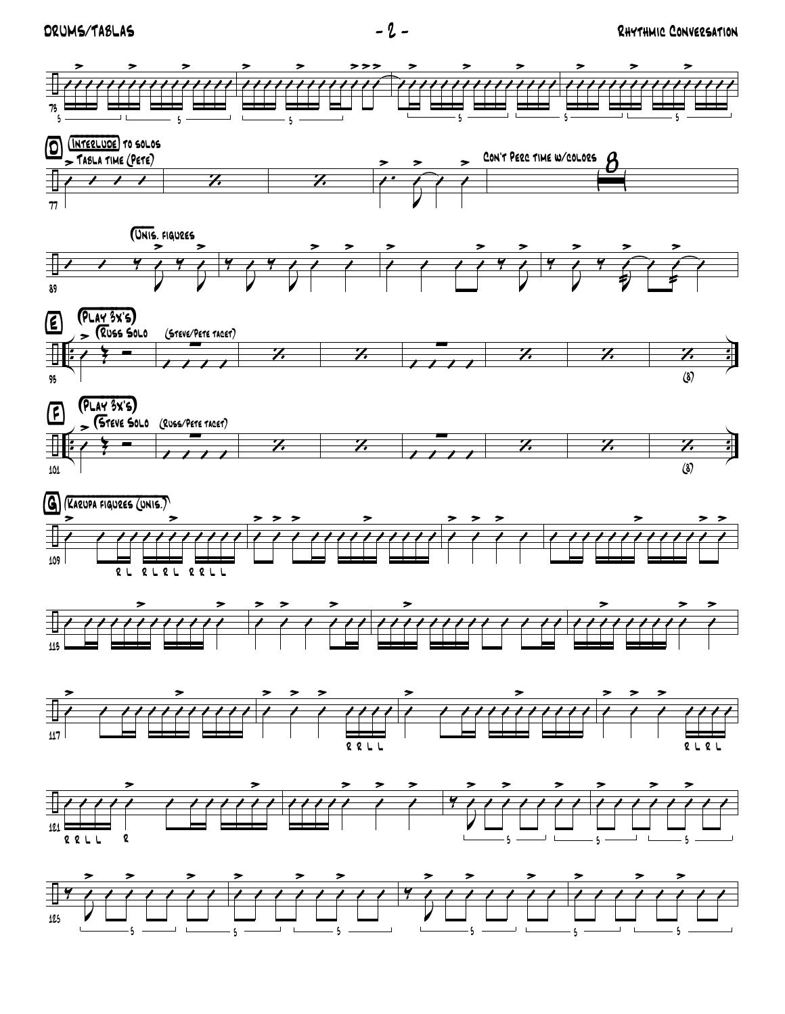